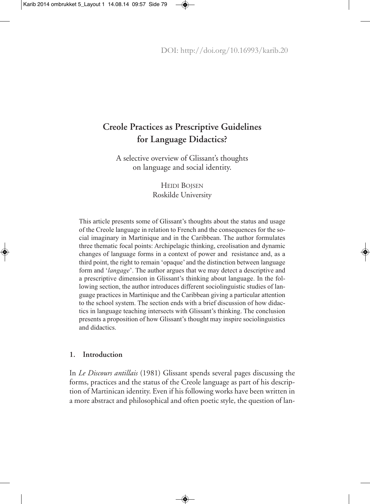# **Creole Practices as Prescriptive Guidelines for Language Didactics?**

A selective overview of Glissant's thoughts on language and social identity.

> HEIDI BOJSEN Roskilde University

This article presents some of Glissant's thoughts about the status and usage of the Creole language in relation to French and the consequences for the social imaginary in Martinique and in the Caribbean. The author formulates three thematic focal points: Archipelagic thinking, creolisation and dynamic changes of language forms in a context of power and resistance and, as a third point, the right to remain 'opaque' and the distinction between language form and '*langage*'. The author argues that we may detect a descriptive and a prescriptive dimension in Glissant's thinking about language. In the following section, the author introduces different sociolinguistic studies of language practices in Martinique and the Caribbean giving a particular attention to the school system. The section ends with a brief discussion of how didactics in language teaching intersects with Glissant's thinking. The conclusion presents a proposition of how Glissant's thought may inspire sociolinguistics and didactics.

## **1. Introduction**

In *Le Discours antillais* (1981) Glissant spends several pages discussing the forms, practices and the status of the Creole language as part of his description of Martinican identity. Even if his following works have been written in a more abstract and philosophical and often poetic style, the question of lan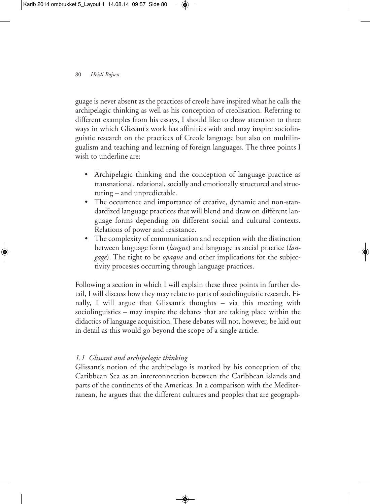guage is never absent as the practices of creole have inspired what he calls the archipelagic thinking as well as his conception of creolisation. Referring to different examples from his essays, I should like to draw attention to three ways in which Glissant's work has affinities with and may inspire sociolinguistic research on the practices of Creole language but also on multilingualism and teaching and learning of foreign languages. The three points I wish to underline are:

- Archipelagic thinking and the conception of language practice as transnational, relational, socially and emotionally structured and structuring – and unpredictable.
- The occurrence and importance of creative, dynamic and non-standardized language practices that will blend and draw on different language forms depending on different social and cultural contexts. Relations of power and resistance.
- The complexity of communication and reception with the distinction between language form (*langue*) and language as social practice (*langage*). The right to be *opaque* and other implications for the subjectivity processes occurring through language practices.

Following a section in which I will explain these three points in further detail, I will discuss how they may relate to parts of sociolinguistic research. Finally, I will argue that Glissant's thoughts – via this meeting with sociolinguistics – may inspire the debates that are taking place within the didactics of language acquisition.These debates will not, however, be laid out in detail as this would go beyond the scope of a single article.

# *1.1 Glissant and archipelagic thinking*

Glissant's notion of the archipelago is marked by his conception of the Caribbean Sea as an interconnection between the Caribbean islands and parts of the continents of the Americas. In a comparison with the Mediterranean, he argues that the different cultures and peoples that are geograph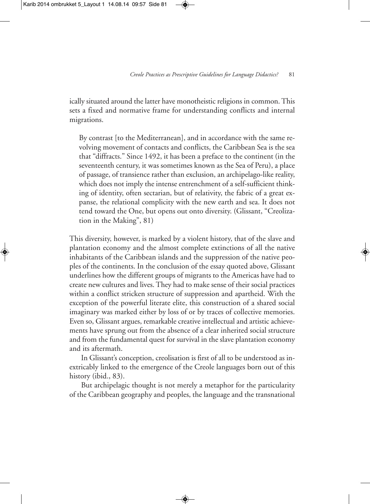ically situated around the latter have monotheistic religions in common.This sets a fixed and normative frame for understanding conflicts and internal migrations.

By contrast [to the Mediterranean], and in accordance with the same revolving movement of contacts and conflicts, the Caribbean Sea is the sea that "diffracts." Since 1492, it has been a preface to the continent (in the seventeenth century, it was sometimes known as the Sea of Peru), a place of passage, of transience rather than exclusion, an archipelago-like reality, which does not imply the intense entrenchment of a self-sufficient thinking of identity, often sectarian, but of relativity, the fabric of a great expanse, the relational complicity with the new earth and sea. It does not tend toward the One, but opens out onto diversity. (Glissant, "Creolization in the Making", 81)

This diversity, however, is marked by a violent history, that of the slave and plantation economy and the almost complete extinctions of all the native inhabitants of the Caribbean islands and the suppression of the native peoples of the continents. In the conclusion of the essay quoted above, Glissant underlines how the different groups of migrants to the Americas have had to create new cultures and lives.They had to make sense of their social practices within a conflict stricken structure of suppression and apartheid. With the exception of the powerful literate elite, this construction of a shared social imaginary was marked either by loss of or by traces of collective memories. Even so, Glissant argues, remarkable creative intellectual and artistic achievements have sprung out from the absence of a clear inherited social structure and from the fundamental quest for survival in the slave plantation economy and its aftermath.

In Glissant's conception, creolisation is first of all to be understood as inextricably linked to the emergence of the Creole languages born out of this history (ibid., 83).

But archipelagic thought is not merely a metaphor for the particularity of the Caribbean geography and peoples, the language and the transnational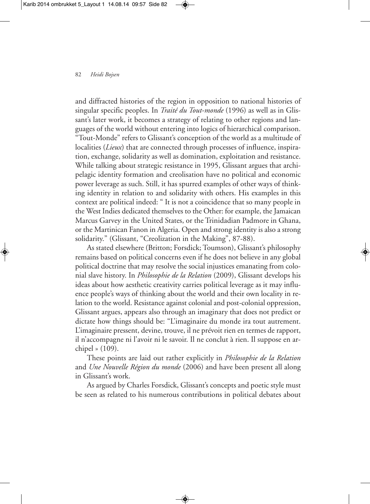### 82 *Heidi Bojsen*

and diffracted histories of the region in opposition to national histories of singular specific peoples. In *Traité du Tout-monde* (1996) as well as in Glissant's later work, it becomes a strategy of relating to other regions and languages of the world without entering into logics of hierarchical comparison. "Tout-Monde" refers to Glissant's conception of the world as a multitude of localities (*Lieux*) that are connected through processes of influence, inspiration, exchange, solidarity as well as domination, exploitation and resistance. While talking about strategic resistance in 1995, Glissant argues that archipelagic identity formation and creolisation have no political and economic power leverage as such. Still, it has spurred examples of other ways of thinking identity in relation to and solidarity with others. His examples in this context are political indeed: " It is not a coincidence that so many people in the West Indies dedicated themselves to the Other: for example, the Jamaican Marcus Garvey in the United States, or the Trinidadian Padmore in Ghana, or the Martinican Fanon in Algeria. Open and strong identity is also a strong solidarity." (Glissant, "Creolization in the Making", 87-88).

As stated elsewhere (Britton; Forsdick; Toumson), Glissant's philosophy remains based on political concerns even if he does not believe in any global political doctrine that may resolve the social injustices emanating from colonial slave history. In *Philosophie de la Relation* (2009), Glissant develops his ideas about how aesthetic creativity carries political leverage as it may influence people's ways of thinking about the world and their own locality in relation to the world. Resistance against colonial and post-colonial oppression, Glissant argues, appears also through an imaginary that does not predict or dictate how things should be: "L'imaginaire du monde ira tout autrement. L'imaginaire pressent, devine, trouve, il ne prévoit rien en termes de rapport, il n'accompagne ni l'avoir ni le savoir. Il ne conclut à rien. Il suppose en archipel » (109).

These points are laid out rather explicitly in *Philosophie de la Relation* and *Une Nouvelle Région du monde* (2006) and have been present all along in Glissant's work.

As argued by Charles Forsdick, Glissant's concepts and poetic style must be seen as related to his numerous contributions in political debates about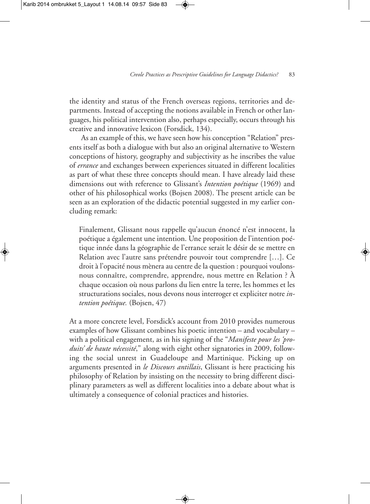the identity and status of the French overseas regions, territories and departments. Instead of accepting the notions available in French or other languages, his political intervention also, perhaps especially, occurs through his creative and innovative lexicon (Forsdick, 134).

As an example of this, we have seen how his conception "Relation" presents itself as both a dialogue with but also an original alternative to Western conceptions of history, geography and subjectivity as he inscribes the value of *errance* and exchanges between experiences situated in different localities as part of what these three concepts should mean. I have already laid these dimensions out with reference to Glissant's *Intention poétique* (1969) and other of his philosophical works (Bojsen 2008). The present article can be seen as an exploration of the didactic potential suggested in my earlier concluding remark:

Finalement, Glissant nous rappelle qu'aucun énoncé n'est innocent, la poétique a également une intention. Une proposition de l'intention poétique innée dans la géographie de l'errance serait le désir de se mettre en Relation avec l'autre sans prétendre pouvoir tout comprendre […]. Ce droit à l'opacité nous mènera au centre de la question : pourquoi voulonsnous connaître, comprendre, apprendre, nous mettre en Relation ? À chaque occasion où nous parlons du lien entre la terre, les hommes et les structurations sociales, nous devons nous interroger et expliciter notre *intention poétique.* (Bojsen, 47)

At a more concrete level, Forsdick's account from 2010 provides numerous examples of how Glissant combines his poetic intention – and vocabulary – with a political engagement, as in his signing of the "*Manifeste pour les 'produits' de haute nécessité*," along with eight other signatories in 2009, following the social unrest in Guadeloupe and Martinique. Picking up on arguments presented in *le Discours antillais*, Glissant is here practicing his philosophy of Relation by insisting on the necessity to bring different disciplinary parameters as well as different localities into a debate about what is ultimately a consequence of colonial practices and histories.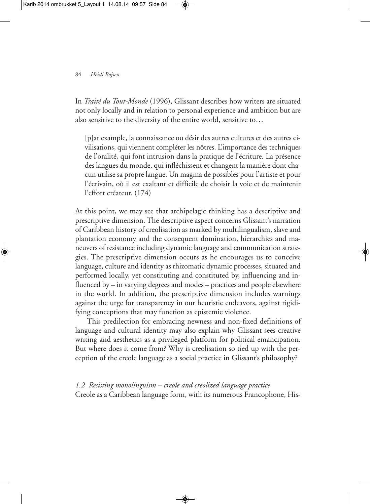### 84 *Heidi Bojsen*

In *Traité du Tout-Monde* (1996), Glissant describes how writers are situated not only locally and in relation to personal experience and ambition but are also sensitive to the diversity of the entire world, sensitive to…

[p]ar example, la connaissance ou désir des autres cultures et des autres civilisations, qui viennent compléter les nôtres. L'importance des techniques de l'oralité, qui font intrusion dans la pratique de l'écriture. La présence des langues du monde, qui infléchissent et changent la manière dont chacun utilise sa propre langue. Un magma de possibles pour l'artiste et pour l'écrivain, où il est exaltant et difficile de choisir la voie et de maintenir l'effort créateur. (174)

At this point, we may see that archipelagic thinking has a descriptive and prescriptive dimension. The descriptive aspect concerns Glissant's narration of Caribbean history of creolisation as marked by multilingualism, slave and plantation economy and the consequent domination, hierarchies and maneuvers of resistance including dynamic language and communication strategies. The prescriptive dimension occurs as he encourages us to conceive language, culture and identity as rhizomatic dynamic processes, situated and performed locally, yet constituting and constituted by, influencing and influenced by – in varying degrees and modes – practices and people elsewhere in the world. In addition, the prescriptive dimension includes warnings against the urge for transparency in our heuristic endeavors, against rigidifying conceptions that may function as epistemic violence.

This predilection for embracing newness and non-fixed definitions of language and cultural identity may also explain why Glissant sees creative writing and aesthetics as a privileged platform for political emancipation. But where does it come from? Why is creolisation so tied up with the perception of the creole language as a social practice in Glissant's philosophy?

*1.2 Resisting monolinguism – creole and creolized language practice* Creole as a Caribbean language form, with its numerous Francophone, His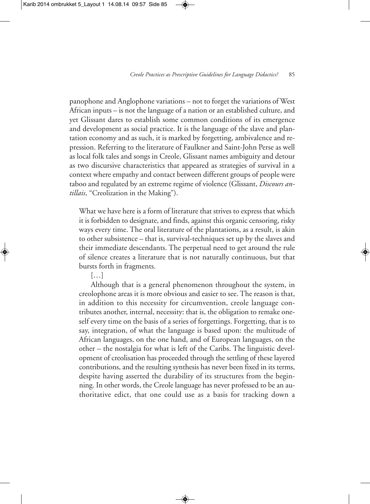panophone and Anglophone variations – not to forget the variations of West African inputs – is not the language of a nation or an established culture, and yet Glissant dares to establish some common conditions of its emergence and development as social practice. It is the language of the slave and plantation economy and as such, it is marked by forgetting, ambivalence and repression. Referring to the literature of Faulkner and Saint-John Perse as well as local folk tales and songs in Creole, Glissant names ambiguity and detour as two discursive characteristics that appeared as strategies of survival in a context where empathy and contact between different groups of people were taboo and regulated by an extreme regime of violence (Glissant, *Discours antillais*, "Creolization in the Making").

What we have here is a form of literature that strives to express that which it is forbidden to designate, and finds, against this organic censoring, risky ways every time. The oral literature of the plantations, as a result, is akin to other subsistence – that is, survival-techniques set up by the slaves and their immediate descendants. The perpetual need to get around the rule of silence creates a literature that is not naturally continuous, but that bursts forth in fragments.

[…]

Although that is a general phenomenon throughout the system, in creolophone areas it is more obvious and easier to see. The reason is that, in addition to this necessity for circumvention, creole language contributes another, internal, necessity: that is, the obligation to remake oneself every time on the basis of a series of forgettings. Forgetting, that is to say, integration, of what the language is based upon: the multitude of African languages, on the one hand, and of European languages, on the other – the nostalgia for what is left of the Caribs. The linguistic development of creolisation has proceeded through the settling of these layered contributions, and the resulting synthesis has never been fixed in its terms, despite having asserted the durability of its structures from the beginning. In other words, the Creole language has never professed to be an authoritative edict, that one could use as a basis for tracking down a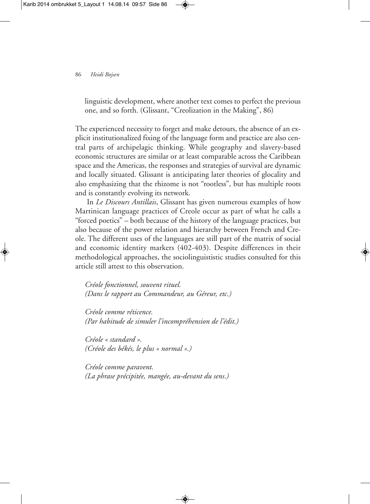#### 86 *Heidi Bojsen*

linguistic development, where another text comes to perfect the previous one, and so forth. (Glissant, "Creolization in the Making", 86)

The experienced necessity to forget and make detours, the absence of an explicit institutionalized fixing of the language form and practice are also central parts of archipelagic thinking. While geography and slavery-based economic structures are similar or at least comparable across the Caribbean space and the Americas, the responses and strategies of survival are dynamic and locally situated. Glissant is anticipating later theories of glocality and also emphasizing that the rhizome is not "rootless", but has multiple roots and is constantly evolving its network.

In *Le Discours Antillais*, Glissant has given numerous examples of how Martinican language practices of Creole occur as part of what he calls a "forced poetics" – both because of the history of the language practices, but also because of the power relation and hierarchy between French and Creole. The different uses of the languages are still part of the matrix of social and economic identity markers (402-403). Despite differences in their methodological approaches, the sociolinguististic studies consulted for this article still attest to this observation.

*Créole fonctionnel, souvent rituel. (Dans le rapport au Commandeur, au Géreur, etc.)*

*Créole comme réticence. (Par habitude de simuler l'incompréhension de l'édit.)*

*Créole « standard ». (Créole des békés, le plus « normal ».)*

*Créole comme paravent. (La phrase précipitée, mangée, au-devant du sens.)*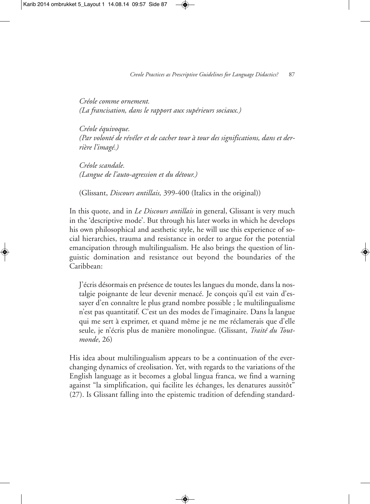*Créole comme ornement. (La francisation, dans le rapport aux supérieurs sociaux.)*

*Créole équivoque. (Par volonté de révéler et de cacher tour à tour des significations, dans et derrière l'imagé.)*

*Créole scandale. (Langue de l'auto-agression et du détour.)*

(Glissant, *Discours antillais,* 399-400 (Italics in the original))

In this quote, and in *Le Discours antillais* in general, Glissant is very much in the 'descriptive mode'. But through his later works in which he develops his own philosophical and aesthetic style, he will use this experience of social hierarchies, trauma and resistance in order to argue for the potential emancipation through multilingualism. He also brings the question of linguistic domination and resistance out beyond the boundaries of the Caribbean:

J'écris désormais en présence de toutes les langues du monde, dans la nostalgie poignante de leur devenir menacé. Je conçois qu'il est vain d'essayer d'en connaître le plus grand nombre possible ; le multilingualisme n'est pas quantitatif. C'est un des modes de l'imaginaire. Dans la langue qui me sert à exprimer, et quand même je ne me réclamerais que d'elle seule, je n'écris plus de manière monolingue. (Glissant, *Traité du Toutmonde*, 26)

His idea about multilingualism appears to be a continuation of the everchanging dynamics of creolisation. Yet, with regards to the variations of the English language as it becomes a global lingua franca, we find a warning against "la simplification, qui facilite les échanges, les denatures aussitôt" (27). Is Glissant falling into the epistemic tradition of defending standard-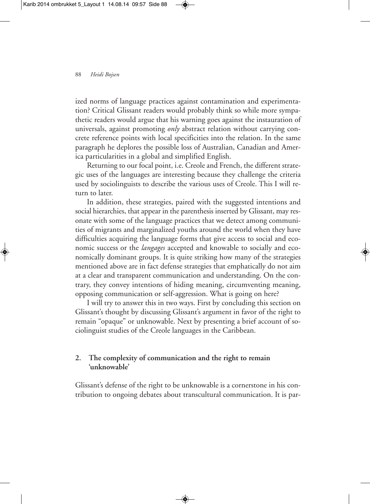### 88 *Heidi Bojsen*

ized norms of language practices against contamination and experimentation? Critical Glissant readers would probably think so while more sympathetic readers would argue that his warning goes against the instauration of universals, against promoting *only* abstract relation without carrying concrete reference points with local specificities into the relation. In the same paragraph he deplores the possible loss of Australian, Canadian and America particularities in a global and simplified English.

Returning to our focal point, i.e. Creole and French, the different strategic uses of the languages are interesting because they challenge the criteria used by sociolinguists to describe the various uses of Creole. This I will return to later.

In addition, these strategies, paired with the suggested intentions and social hierarchies, that appear in the parenthesis inserted by Glissant, may resonate with some of the language practices that we detect among communities of migrants and marginalized youths around the world when they have difficulties acquiring the language forms that give access to social and economic success or the *langages* accepted and knowable to socially and economically dominant groups. It is quite striking how many of the strategies mentioned above are in fact defense strategies that emphatically do not aim at a clear and transparent communication and understanding. On the contrary, they convey intentions of hiding meaning, circumventing meaning, opposing communication or self-aggression. What is going on here?

I will try to answer this in two ways. First by concluding this section on Glissant's thought by discussing Glissant's argument in favor of the right to remain "opaque" or unknowable. Next by presenting a brief account of sociolinguist studies of the Creole languages in the Caribbean.

# **2. The complexity of communication and the right to remain 'unknowable'**

Glissant's defense of the right to be unknowable is a cornerstone in his contribution to ongoing debates about transcultural communication. It is par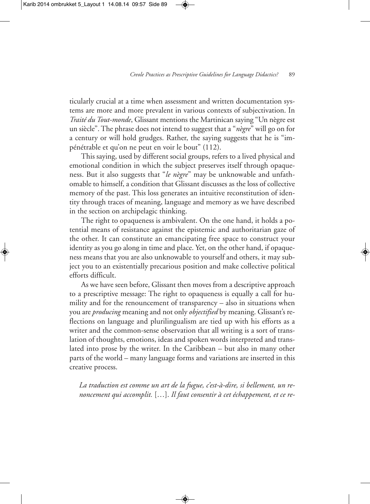ticularly crucial at a time when assessment and written documentation systems are more and more prevalent in various contexts of subjectivation. In *Traité du Tout-monde*, Glissant mentions the Martinican saying "Un nègre est un siècle".The phrase does not intend to suggest that a "*nègre*" will go on for a century or will hold grudges. Rather, the saying suggests that he is "impénétrable et qu'on ne peut en voir le bout" (112).

This saying, used by different social groups, refers to a lived physical and emotional condition in which the subject preserves itself through opaqueness. But it also suggests that "*le nègre*" may be unknowable and unfathomable to himself, a condition that Glissant discusses as the loss of collective memory of the past. This loss generates an intuitive reconstitution of identity through traces of meaning, language and memory as we have described in the section on archipelagic thinking.

The right to opaqueness is ambivalent. On the one hand, it holds a potential means of resistance against the epistemic and authoritarian gaze of the other. It can constitute an emancipating free space to construct your identity as you go along in time and place. Yet, on the other hand, if opaqueness means that you are also unknowable to yourself and others, it may subject you to an existentially precarious position and make collective political efforts difficult.

As we have seen before, Glissant then moves from a descriptive approach to a prescriptive message: The right to opaqueness is equally a call for humility and for the renouncement of transparency – also in situations when you are *producing* meaning and not only *objectified* by meaning. Glissant's reflections on language and plurilingualism are tied up with his efforts as a writer and the common-sense observation that all writing is a sort of translation of thoughts, emotions, ideas and spoken words interpreted and translated into prose by the writer. In the Caribbean – but also in many other parts of the world – many language forms and variations are inserted in this creative process.

*La traduction est comme un art de la fugue, c'est-à-dire, si bellement, un renoncement qui accomplit.* […]. *Il faut consentir à cet échappement, et ce re-*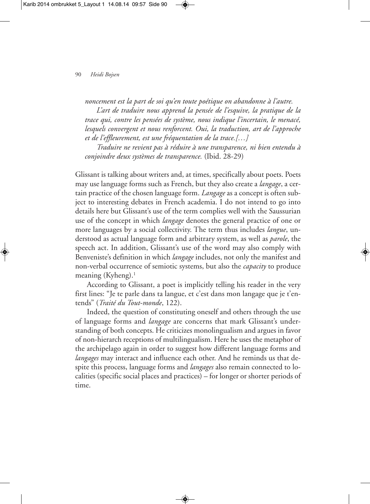*noncement est la part de soi qu'en toute poétique on abandonne à l'autre.*

*L'art de traduire nous apprend la pensée de l'esquive, la pratique de la trace qui, contre les pensées de système, nous indique l'incertain, le menacé, lesquels convergent et nous renforcent. Oui, la traduction, art de l'approche et de l'effleurement, est une fréquentation de la trace.[…]*

*Traduire ne revient pas à réduire à une transparence, ni bien entendu à conjoindre deux systèmes de transparence.* (Ibid. 28-29)

Glissant is talking about writers and, at times, specifically about poets. Poets may use language forms such as French, but they also create a *langage*, a certain practice of the chosen language form. *Langage* as a concept is often subject to interesting debates in French academia. I do not intend to go into details here but Glissant's use of the term complies well with the Saussurian use of the concept in which *langage* denotes the general practice of one or more languages by a social collectivity. The term thus includes *langue*, understood as actual language form and arbitrary system, as well as *parole*, the speech act. In addition, Glissant's use of the word may also comply with Benveniste's definition in which *langage* includes, not only the manifest and non-verbal occurrence of semiotic systems, but also the *capacity* to produce meaning (Kyheng). 1

According to Glissant, a poet is implicitly telling his reader in the very first lines: "Je te parle dans ta langue, et c'est dans mon langage que je t'entends" (*Traité du Tout-monde*, 122).

Indeed, the question of constituting oneself and others through the use of language forms and *langage* are concerns that mark Glissant's understanding of both concepts. He criticizes monolingualism and argues in favor of non-hierarch receptions of multilingualism. Here he uses the metaphor of the archipelago again in order to suggest how different language forms and *langages* may interact and influence each other. And he reminds us that despite this process, language forms and *langages* also remain connected to localities (specific social places and practices) – for longer or shorter periods of time.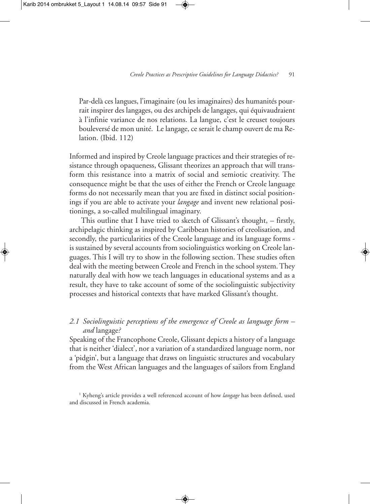Par-delà ces langues, l'imaginaire (ou les imaginaires) des humanités pourrait inspirer des langages, ou des archipels de langages, qui équivaudraient à l'infinie variance de nos relations. La langue, c'est le creuset toujours bouleversé de mon unité. Le langage, ce serait le champ ouvert de ma Relation. (Ibid. 112)

Informed and inspired by Creole language practices and their strategies of resistance through opaqueness, Glissant theorizes an approach that will transform this resistance into a matrix of social and semiotic creativity. The consequence might be that the uses of either the French or Creole language forms do not necessarily mean that you are fixed in distinct social positionings if you are able to activate your *langage* and invent new relational positionings, a so-called multilingual imaginary.

This outline that I have tried to sketch of Glissant's thought, – firstly, archipelagic thinking as inspired by Caribbean histories of creolisation, and secondly, the particularities of the Creole language and its language forms is sustained by several accounts from sociolinguistics working on Creole languages. This I will try to show in the following section. These studies often deal with the meeting between Creole and French in the school system.They naturally deal with how we teach languages in educational systems and as a result, they have to take account of some of the sociolinguistic subjectivity processes and historical contexts that have marked Glissant's thought.

*2.1 Sociolinguistic perceptions of the emergence of Creole as language form – and* langage*?*

Speaking of the Francophone Creole, Glissant depicts a history of a language that is neither 'dialect', nor a variation of a standardized language norm, nor a 'pidgin', but a language that draws on linguistic structures and vocabulary from the West African languages and the languages of sailors from England

<sup>&</sup>lt;sup>1</sup> Kyheng's article provides a well referenced account of how *langage* has been defined, used and discussed in French academia.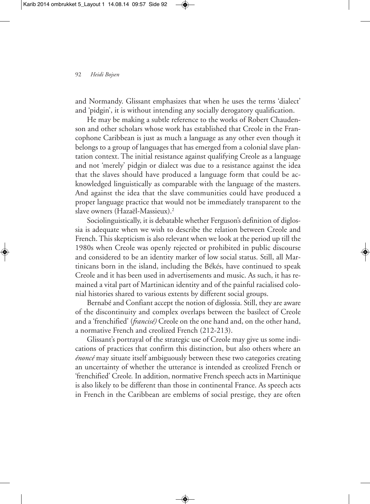and Normandy. Glissant emphasizes that when he uses the terms 'dialect' and 'pidgin', it is without intending any socially derogatory qualification.

He may be making a subtle reference to the works of Robert Chaudenson and other scholars whose work has established that Creole in the Francophone Caribbean is just as much a language as any other even though it belongs to a group of languages that has emerged from a colonial slave plantation context. The initial resistance against qualifying Creole as a language and not 'merely' pidgin or dialect was due to a resistance against the idea that the slaves should have produced a language form that could be acknowledged linguistically as comparable with the language of the masters. And against the idea that the slave communities could have produced a proper language practice that would not be immediately transparent to the slave owners (Hazaël-Massieux). 2

Sociolinguistically, it is debatable whether Ferguson's definition of diglossia is adequate when we wish to describe the relation between Creole and French.This skepticism is also relevant when we look at the period up till the 1980s when Creole was openly rejected or prohibited in public discourse and considered to be an identity marker of low social status. Still, all Martinicans born in the island, including the Békés, have continued to speak Creole and it has been used in advertisements and music. As such, it has remained a vital part of Martinican identity and of the painful racialised colonial histories shared to various extents by different social groups.

Bernabé and Confiant accept the notion of diglossia. Still, they are aware of the discontinuity and complex overlaps between the basilect of Creole and a 'frenchified' (*francisé)* Creole on the one hand and, on the other hand, a normative French and creolized French (212-213).

Glissant's portrayal of the strategic use of Creole may give us some indications of practices that confirm this distinction, but also others where an *énoncé* may situate itself ambiguously between these two categories creating an uncertainty of whether the utterance is intended as creolized French or 'frenchified' Creole*.* In addition, normative French speech acts in Martinique is also likely to be different than those in continental France. As speech acts in French in the Caribbean are emblems of social prestige, they are often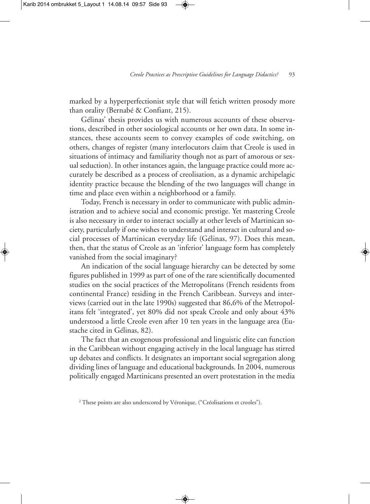marked by a hyperperfectionist style that will fetich written prosody more than orality (Bernabé & Confiant, 215).

Gélinas' thesis provides us with numerous accounts of these observations, described in other sociological accounts or her own data. In some instances, these accounts seem to convey examples of code switching, on others, changes of register (many interlocutors claim that Creole is used in situations of intimacy and familiarity though not as part of amorous or sexual seduction). In other instances again, the language practice could more accurately be described as a process of creolisation, as a dynamic archipelagic identity practice because the blending of the two languages will change in time and place even within a neighborhood or a family.

Today, French is necessary in order to communicate with public administration and to achieve social and economic prestige. Yet mastering Creole is also necessary in order to interact socially at other levels of Martinican society, particularly if one wishes to understand and interact in cultural and social processes of Martinican everyday life (Gélinas, 97). Does this mean, then, that the status of Creole as an 'inferior' language form has completely vanished from the social imaginary?

An indication of the social language hierarchy can be detected by some figures published in 1999 as part of one of the rare scientifically documented studies on the social practices of the Metropolitans (French residents from continental France) residing in the French Caribbean. Surveys and interviews (carried out in the late 1990s) suggested that 86,6% of the Metropolitans felt 'integrated', yet 80% did not speak Creole and only about 43% understood a little Creole even after 10 ten years in the language area (Eustache cited in Gélinas, 82).

The fact that an exogenous professional and linguistic elite can function in the Caribbean without engaging actively in the local language has stirred up debates and conflicts. It designates an important social segregation along dividing lines of language and educational backgrounds. In 2004, numerous politically engaged Martinicans presented an overt protestation in the media

<sup>&</sup>lt;sup>2</sup> These points are also underscored by Véronique, ("Créolisations et creoles").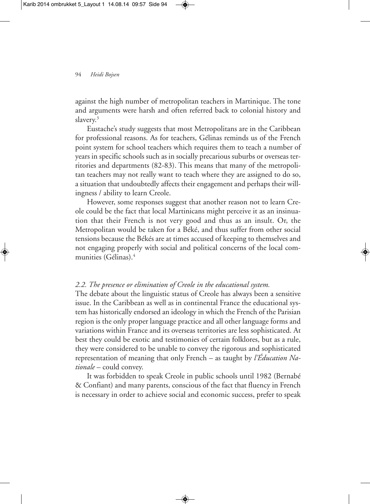#### 94 *Heidi Bojsen*

against the high number of metropolitan teachers in Martinique. The tone and arguments were harsh and often referred back to colonial history and slavery. 3

Eustache's study suggests that most Metropolitans are in the Caribbean for professional reasons. As for teachers, Gélinas reminds us of the French point system for school teachers which requires them to teach a number of years in specific schools such as in socially precarious suburbs or overseas territories and departments (82-83). This means that many of the metropolitan teachers may not really want to teach where they are assigned to do so, a situation that undoubtedly affects their engagement and perhaps their willingness / ability to learn Creole.

However, some responses suggest that another reason not to learn Creole could be the fact that local Martinicans might perceive it as an insinuation that their French is not very good and thus as an insult. Or, the Metropolitan would be taken for a Béké, and thus suffer from other social tensions because the Békés are at times accused of keeping to themselves and not engaging properly with social and political concerns of the local communities (Gélinas). 4

### *2.2. The presence or elimination of Creole in the educational system.*

The debate about the linguistic status of Creole has always been a sensitive issue. In the Caribbean as well as in continental France the educational system has historically endorsed an ideology in which the French of the Parisian region is the only proper language practice and all other language forms and variations within France and its overseas territories are less sophisticated. At best they could be exotic and testimonies of certain folklores, but as a rule, they were considered to be unable to convey the rigorous and sophisticated representation of meaning that only French – as taught by *l'Éducation Nationale* – could convey.

It was forbidden to speak Creole in public schools until 1982 (Bernabé & Confiant) and many parents, conscious of the fact that fluency in French is necessary in order to achieve social and economic success, prefer to speak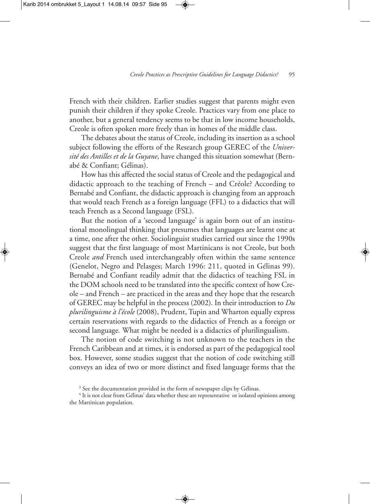French with their children. Earlier studies suggest that parents might even punish their children if they spoke Creole. Practices vary from one place to another, but a general tendency seems to be that in low income households, Creole is often spoken more freely than in homes of the middle class.

The debates about the status of Creole, including its insertion as a school subject following the efforts of the Research group GEREC of the *Université des Antilles et de la Guyane*, have changed this situation somewhat (Bernabé & Confiant; Gélinas).

How has this affected the social status of Creole and the pedagogical and didactic approach to the teaching of French – and Créole? According to Bernabé and Confiant, the didactic approach is changing from an approach that would teach French as a foreign language (FFL) to a didactics that will teach French as a Second language (FSL).

But the notion of a 'second language' is again born out of an institutional monolingual thinking that presumes that languages are learnt one at a time, one after the other. Sociolinguist studies carried out since the 1990s suggest that the first language of most Martinicans is not Creole, but both Creole *and* French used interchangeably often within the same sentence (Genelot, Negro and Pelasges; March 1996: 211, quoted in Gélinas 99). Bernabé and Confiant readily admit that the didactics of teaching FSL in the DOM schools need to be translated into the specific context of how Creole – and French – are practiced in the areas and they hope that the research of GEREC may be helpful in the process (2002). In their introduction to *Du plurilinguisme à l'école* (2008), Prudent, Tupin and Wharton equally express certain reservations with regards to the didactics of French as a foreign or second language*.* What might be needed is a didactics of plurilingualism.

The notion of code switching is not unknown to the teachers in the French Caribbean and at times, it is endorsed as part of the pedagogical tool box. However, some studies suggest that the notion of code switching still conveys an idea of two or more distinct and fixed language forms that the

<sup>&</sup>lt;sup>3</sup> See the documentation provided in the form of newspaper clips by Gélinas.

<sup>&</sup>lt;sup>4</sup> It is not clear from Gélinas' data whether these are representative or isolated opinions among the Martinican population.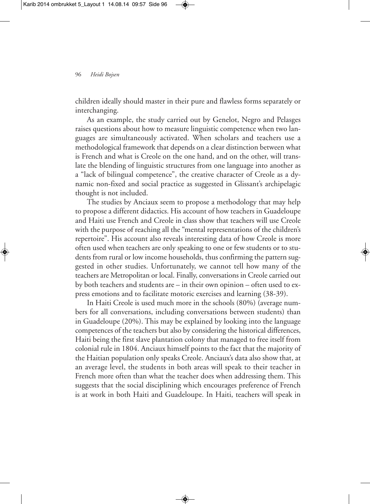children ideally should master in their pure and flawless forms separately or interchanging.

As an example, the study carried out by Genelot, Negro and Pelasges raises questions about how to measure linguistic competence when two languages are simultaneously activated. When scholars and teachers use a methodological framework that depends on a clear distinction between what is French and what is Creole on the one hand, and on the other, will translate the blending of linguistic structures from one language into another as a "lack of bilingual competence", the creative character of Creole as a dynamic non-fixed and social practice as suggested in Glissant's archipelagic thought is not included.

The studies by Anciaux seem to propose a methodology that may help to propose a different didactics. His account of how teachers in Guadeloupe and Haiti use French and Creole in class show that teachers will use Creole with the purpose of reaching all the "mental representations of the children's repertoire". His account also reveals interesting data of how Creole is more often used when teachers are only speaking to one or few students or to students from rural or low income households, thus confirming the pattern suggested in other studies. Unfortunately, we cannot tell how many of the teachers are Metropolitan or local. Finally, conversations in Creole carried out by both teachers and students are – in their own opinion – often used to express emotions and to facilitate motoric exercises and learning (38-39).

In Haiti Creole is used much more in the schools (80%) (average numbers for all conversations, including conversations between students) than in Guadeloupe (20%). This may be explained by looking into the language competences of the teachers but also by considering the historical differences, Haiti being the first slave plantation colony that managed to free itself from colonial rule in 1804. Anciaux himself points to the fact that the majority of the Haitian population only speaks Creole. Anciaux's data also show that, at an average level, the students in both areas will speak to their teacher in French more often than what the teacher does when addressing them. This suggests that the social disciplining which encourages preference of French is at work in both Haiti and Guadeloupe. In Haiti, teachers will speak in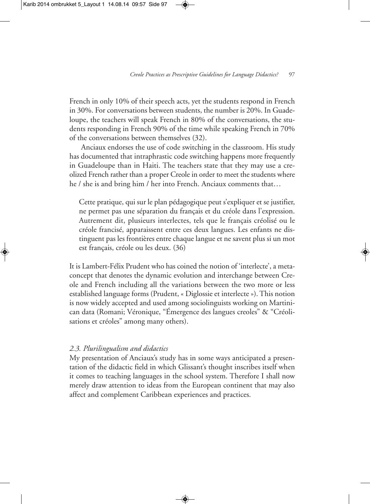French in only 10% of their speech acts, yet the students respond in French in 30%. For conversations between students, the number is 20%. In Guadeloupe, the teachers will speak French in 80% of the conversations, the students responding in French 90% of the time while speaking French in 70% of the conversations between themselves (32).

Anciaux endorses the use of code switching in the classroom. His study has documented that intraphrastic code switching happens more frequently in Guadeloupe than in Haiti. The teachers state that they may use a creolized French rather than a proper Creole in order to meet the students where he / she is and bring him / her into French. Anciaux comments that…

Cette pratique, qui sur le plan pédagogique peut s'expliquer et se justifier, ne permet pas une séparation du français et du créole dans l'expression. Autrement dit, plusieurs interlectes, tels que le français créolisé ou le créole francisé, apparaissent entre ces deux langues. Les enfants ne distinguent pas les frontières entre chaque langue et ne savent plus si un mot est français, créole ou les deux. (36)

It is Lambert-Félix Prudent who has coined the notion of 'interlecte', a metaconcept that denotes the dynamic evolution and interchange between Creole and French including all the variations between the two more or less established language forms (Prudent, « Diglossie et interlecte »). This notion is now widely accepted and used among sociolinguists working on Martinican data (Romani; Véronique, "Émergence des langues creoles" & "Créolisations et créoles" among many others).

### *2.3. Plurilingualism and didactics*

My presentation of Anciaux's study has in some ways anticipated a presentation of the didactic field in which Glissant's thought inscribes itself when it comes to teaching languages in the school system. Therefore I shall now merely draw attention to ideas from the European continent that may also affect and complement Caribbean experiences and practices.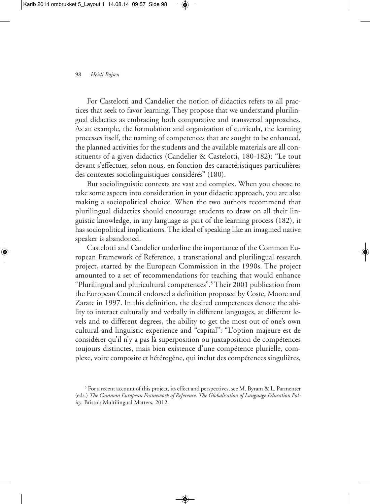For Castelotti and Candelier the notion of didactics refers to all practices that seek to favor learning. They propose that we understand plurilingual didactics as embracing both comparative and transversal approaches. As an example, the formulation and organization of curricula, the learning processes itself, the naming of competences that are sought to be enhanced, the planned activities for the students and the available materials are all constituents of a given didactics (Candelier & Castelotti, 180-182): "Le tout devant s'effectuer, selon nous, en fonction des caractéristiques particulières des contextes sociolinguistiques considérés" (180).

But sociolinguistic contexts are vast and complex. When you choose to take some aspects into consideration in your didactic approach, you are also making a sociopolitical choice. When the two authors recommend that plurilingual didactics should encourage students to draw on all their linguistic knowledge, in any language as part of the learning process (182), it has sociopolitical implications.The ideal of speaking like an imagined native speaker is abandoned.

Castelotti and Candelier underline the importance of the Common European Framework of Reference, a transnational and plurilingual research project, started by the European Commission in the 1990s. The project amounted to a set of recommendations for teaching that would enhance "Plurilingual and pluricultural competences". <sup>5</sup> Their 2001 publication from the European Council endorsed a definition proposed by Coste, Moore and Zarate in 1997. In this definition, the desired competences denote the ability to interact culturally and verbally in different languages, at different levels and to different degrees, the ability to get the most out of one's own cultural and linguistic experience and "capital": "L'option majeure est de considérer qu'il n'y a pas là superposition ou juxtaposition de compétences toujours distinctes, mais bien existence d'une compétence plurielle, complexe, voire composite et hétérogène, qui inclut des compétences singulières,

<sup>&</sup>lt;sup>5</sup> For a recent account of this project, its effect and perspectives, see M. Byram & L. Parmenter (eds.) *The Common European Framework of Reference.The Globalisation of Language Education Policy*. Bristol: Multilingual Matters, 2012.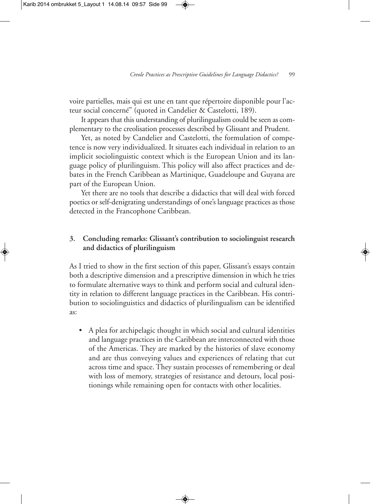voire partielles, mais qui est une en tant que répertoire disponible pour l'acteur social concerné" (quoted in Candelier & Castelotti, 189).

It appears that this understanding of plurilingualism could be seen as complementary to the creolisation processes described by Glissant and Prudent.

Yet, as noted by Candelier and Castelotti, the formulation of competence is now very individualized. It situates each individual in relation to an implicit sociolinguistic context which is the European Union and its language policy of plurilinguism. This policy will also affect practices and debates in the French Caribbean as Martinique, Guadeloupe and Guyana are part of the European Union.

Yet there are no tools that describe a didactics that will deal with forced poetics or self-denigrating understandings of one's language practices as those detected in the Francophone Caribbean.

# **3. Concluding remarks: Glissant's contribution to sociolinguist research and didactics of plurilinguism**

As I tried to show in the first section of this paper, Glissant's essays contain both a descriptive dimension and a prescriptive dimension in which he tries to formulate alternative ways to think and perform social and cultural identity in relation to different language practices in the Caribbean. His contribution to sociolinguistics and didactics of plurilingualism can be identified as:

• A plea for archipelagic thought in which social and cultural identities and language practices in the Caribbean are interconnected with those of the Americas. They are marked by the histories of slave economy and are thus conveying values and experiences of relating that cut across time and space. They sustain processes of remembering or deal with loss of memory, strategies of resistance and detours, local positionings while remaining open for contacts with other localities.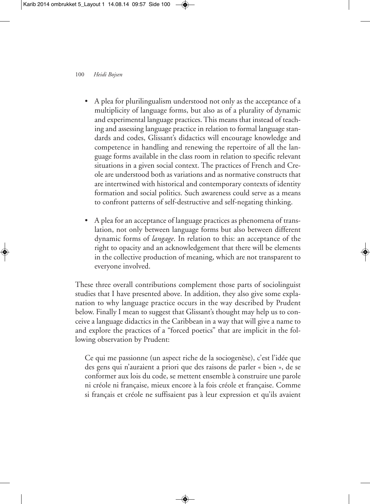- A plea for plurilingualism understood not only as the acceptance of a multiplicity of language forms, but also as of a plurality of dynamic and experimental language practices.This means that instead of teaching and assessing language practice in relation to formal language standards and codes, Glissant's didactics will encourage knowledge and competence in handling and renewing the repertoire of all the language forms available in the class room in relation to specific relevant situations in a given social context. The practices of French and Creole are understood both as variations and as normative constructs that are intertwined with historical and contemporary contexts of identity formation and social politics. Such awareness could serve as a means to confront patterns of self-destructive and self-negating thinking.
- A plea for an acceptance of language practices as phenomena of translation, not only between language forms but also between different dynamic forms of *langage*. In relation to this: an acceptance of the right to opacity and an acknowledgement that there will be elements in the collective production of meaning, which are not transparent to everyone involved.

These three overall contributions complement those parts of sociolinguist studies that I have presented above. In addition, they also give some explanation to why language practice occurs in the way described by Prudent below. Finally I mean to suggest that Glissant's thought may help us to conceive a language didactics in the Caribbean in a way that will give a name to and explore the practices of a "forced poetics" that are implicit in the following observation by Prudent:

Ce qui me passionne (un aspect riche de la sociogenèse), c'est l'idée que des gens qui n'auraient a priori que des raisons de parler « bien », de se conformer aux lois du code, se mettent ensemble à construire une parole ni créole ni française, mieux encore à la fois créole et française. Comme si français et créole ne suffisaient pas à leur expression et qu'ils avaient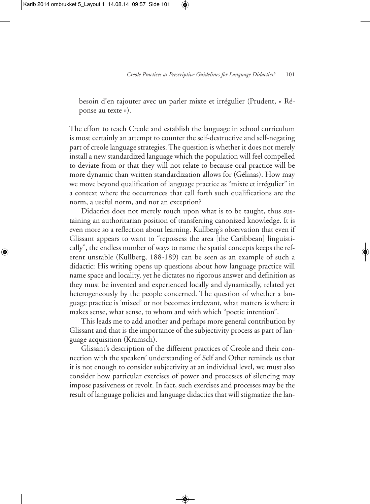besoin d'en rajouter avec un parler mixte et irrégulier (Prudent, « Réponse au texte »).

The effort to teach Creole and establish the language in school curriculum is most certainly an attempt to counter the self-destructive and self-negating part of creole language strategies. The question is whether it does not merely install a new standardized language which the population will feel compelled to deviate from or that they will not relate to because oral practice will be more dynamic than written standardization allows for (Gélinas). How may we move beyond qualification of language practice as "mixte et irrégulier" in a context where the occurrences that call forth such qualifications are the norm, a useful norm, and not an exception?

Didactics does not merely touch upon what is to be taught, thus sustaining an authoritarian position of transferring canonized knowledge. It is even more so a reflection about learning. Kullberg's observation that even if Glissant appears to want to "repossess the area [the Caribbean] linguistically", the endless number of ways to name the spatial concepts keeps the referent unstable (Kullberg, 188-189) can be seen as an example of such a didactic: His writing opens up questions about how language practice will name space and locality, yet he dictates no rigorous answer and definition as they must be invented and experienced locally and dynamically, related yet heterogeneously by the people concerned. The question of whether a language practice is 'mixed' or not becomes irrelevant, what matters is where it makes sense, what sense, to whom and with which "poetic intention".

This leads me to add another and perhaps more general contribution by Glissant and that is the importance of the subjectivity process as part of language acquisition (Kramsch).

Glissant's description of the different practices of Creole and their connection with the speakers' understanding of Self and Other reminds us that it is not enough to consider subjectivity at an individual level, we must also consider how particular exercises of power and processes of silencing may impose passiveness or revolt. In fact, such exercises and processes may be the result of language policies and language didactics that will stigmatize the lan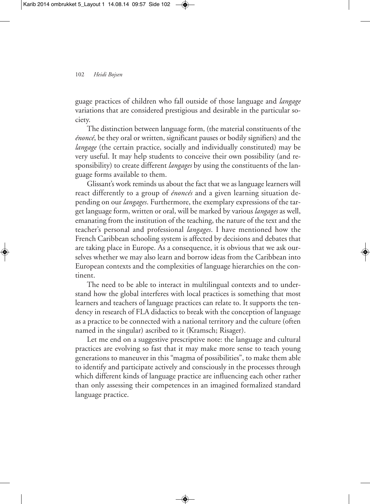guage practices of children who fall outside of those language and *langage* variations that are considered prestigious and desirable in the particular society.

The distinction between language form, (the material constituents of the *énoncé*, be they oral or written, significant pauses or bodily signifiers) and the *langage* (the certain practice, socially and individually constituted) may be very useful. It may help students to conceive their own possibility (and responsibility) to create different *langages* by using the constituents of the language forms available to them.

Glissant's work reminds us about the fact that we as language learners will react differently to a group of *énoncés* and a given learning situation depending on our *langages*. Furthermore, the exemplary expressions of the target language form, written or oral, will be marked by various *langages* as well, emanating from the institution of the teaching, the nature of the text and the teacher's personal and professional *langages*. I have mentioned how the French Caribbean schooling system is affected by decisions and debates that are taking place in Europe. As a consequence, it is obvious that we ask ourselves whether we may also learn and borrow ideas from the Caribbean into European contexts and the complexities of language hierarchies on the continent.

The need to be able to interact in multilingual contexts and to understand how the global interferes with local practices is something that most learners and teachers of language practices can relate to. It supports the tendency in research of FLA didactics to break with the conception of language as a practice to be connected with a national territory and the culture (often named in the singular) ascribed to it (Kramsch; Risager).

Let me end on a suggestive prescriptive note: the language and cultural practices are evolving so fast that it may make more sense to teach young generations to maneuver in this "magma of possibilities", to make them able to identify and participate actively and consciously in the processes through which different kinds of language practice are influencing each other rather than only assessing their competences in an imagined formalized standard language practice.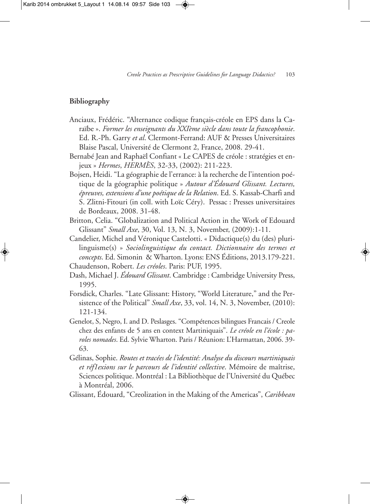## **Bibliography**

- Anciaux, Frédéric. "Alternance codique français-créole en EPS dans la Caraïbe ». *Former les enseignants du XXIème siècle dans toute la francophonie*. Ed. R.-Ph. Garry *et al*. Clermont-Ferrand: AUF & Presses Universitaires Blaise Pascal, Université de Clermont 2, France, 2008. 29-41.
- Bernabé Jean and Raphaël Confiant « Le CAPES de créole : stratégies et enjeux » *Hermes*, *HERMÈS*, 32-33, (2002): 211-223.
- Bojsen, Heidi. "La géographie de l'errance: à la recherche de l'intention poétique de la géographie politique » *Autour d'Édouard Glissant. Lectures, épreuves, extensions d'une poétique de la Relation*. Ed. S. Kassab-Charfi and S. Zlitni-Fitouri (in coll. with Loïc Céry). Pessac : Presses universitaires de Bordeaux, 2008. 31-48.
- Britton, Celia. "Globalization and Political Action in the Work of Edouard Glissant" *Small Axe*, 30, Vol. 13, N. 3, November, (2009):1-11.
- Candelier, Michel and Véronique Castelotti. « Didactique(s) du (des) plurilinguisme(s) » *Sociolinguistique du contact. Dictionnaire des termes et concepts*. Ed. Simonin & Wharton. Lyons: ENS Éditions, 2013.179-221. Chaudenson, Robert. *Les créoles*. Paris: PUF, 1995.
- Dash, Michael J. *Édouard Glissant*. Cambridge : Cambridge University Press, 1995.
- Forsdick, Charles. "Late Glissant: History, "World Literature," and the Persistence of the Political" *Small Axe*, 33, vol. 14, N. 3, November, (2010): 121-134.
- Genelot, S, Negro, I. and D. Peslasges. "Compétences bilingues Francais / Creole chez des enfants de 5 ans en context Martiniquais". *Le créole en l'école : paroles nomades*. Ed. Sylvie Wharton. Paris / Réunion: L'Harmattan, 2006. 39- 63.
- Gélinas, Sophie. *Routes et tracées de l'identité: Analyse du discours martiniquais et réf1exions sur le parcours de l'identité collective*. Mémoire de maîtrise, Sciences politique. Montréal : La Bibliothèque de l'Université du Québec à Montréal, 2006.
- Glissant, Édouard, "Creolization in the Making of the Americas", *Caribbean*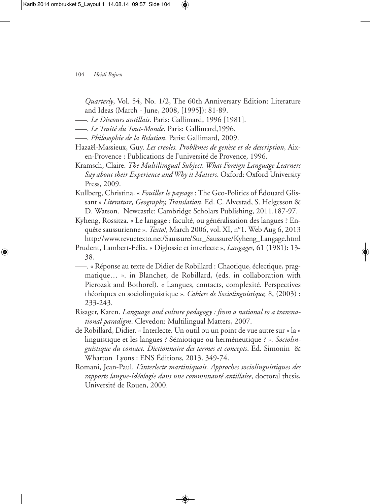*Quarterly*, Vol. 54, No. 1/2, The 60th Anniversary Edition: Literature and Ideas (March - June, 2008, [1995]): 81-89.

- –––. *Le Discours antillais*. Paris: Gallimard, 1996 [1981].
- –––. *Le Traité du Tout-Monde*. Paris: Gallimard,1996.
- –––. *Philosophie de la Relation*. Paris: Gallimard, 2009.
- Hazaël-Massieux, Guy. *Les creoles. Problèmes de genèse et de description*, Aixen-Provence : Publications de l'université de Provence, 1996.
- Kramsch, Claire. *The Multilimgual Subject. What Foreign Language Learners Say about their Experience and Why it Matters*. Oxford: Oxford University Press, 2009.
- Kullberg, Christina. « *Fouiller le paysage* : The Geo-Politics of Édouard Glissant » *Literature, Geography, Translation*. Ed. C. Alvestad, S. Helgesson & D. Watson. Newcastle: Cambridge Scholars Publishing, 2011.187-97.
- Kyheng, Rossitza. « Le langage : faculté, ou généralisation des langues ? Enquête saussurienne ». *Texto!*, March 2006, vol. XI, n°1. Web Aug 6, 2013 http://www.revuetexto.net/Saussure/Sur\_Saussure/Kyheng\_Langage.html
- Prudent, Lambert-Félix. « Diglossie et interlecte », *Langages*, 61 (1981): 13- 38.
- –––. « Réponse au texte de Didier de Robillard : Chaotique, éclectique, pragmatique… ». in Blanchet, de Robillard, (eds. in collaboration with Pierozak and Bothorel). « Langues, contacts, complexité. Perspectives théoriques en sociolinguistique »*. Cahiers de Sociolinguistique,* 8, (2003) : 233-243.
- Risager, Karen. *Language and culture pedagogy : from a national to a transnational paradigm*. Clevedon: Multilingual Matters, 2007.
- de Robillard, Didier. « Interlecte. Un outil ou un point de vue autre sur « la » linguistique et les langues ? Sémiotique ou herméneutique ? ». *Sociolinguistique du contact. Dictionnaire des termes et concepts*. Ed. Simonin & Wharton Lyons : ENS Éditions, 2013. 349-74.
- Romani, Jean-Paul. *L'interlecte martiniquais. Approches sociolinguistiques des rapports langue-idéologie dans une communauté antillaise*, doctoral thesis, Université de Rouen, 2000.